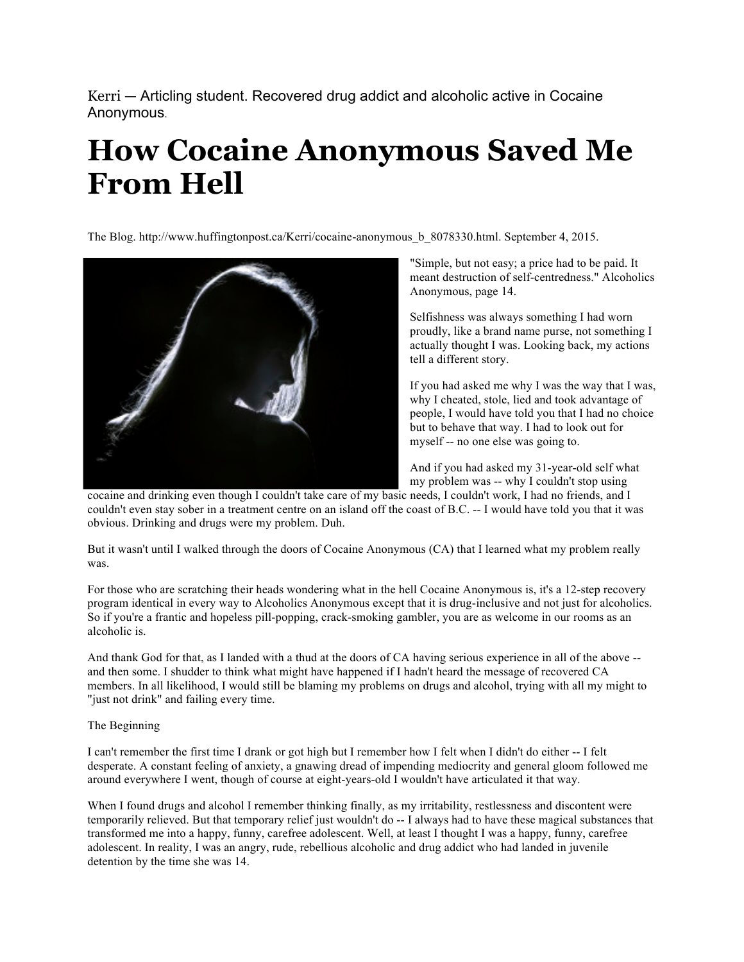Kerri — Articling student. Recovered drug addict and alcoholic active in Cocaine Anonymous.

## **How Cocaine Anonymous Saved Me From Hell**

The Blog. http://www.huffingtonpost.ca/Kerri/cocaine-anonymous b 8078330.html. September 4, 2015.



"Simple, but not easy; a price had to be paid. It meant destruction of self-centredness." Alcoholics Anonymous, page 14.

Selfishness was always something I had worn proudly, like a brand name purse, not something I actually thought I was. Looking back, my actions tell a different story.

If you had asked me why I was the way that I was, why I cheated, stole, lied and took advantage of people, I would have told you that I had no choice but to behave that way. I had to look out for myself -- no one else was going to.

And if you had asked my 31-year-old self what my problem was -- why I couldn't stop using

cocaine and drinking even though I couldn't take care of my basic needs, I couldn't work, I had no friends, and I couldn't even stay sober in a treatment centre on an island off the coast of B.C. -- I would have told you that it was obvious. Drinking and drugs were my problem. Duh.

But it wasn't until I walked through the doors of Cocaine Anonymous (CA) that I learned what my problem really was.

For those who are scratching their heads wondering what in the hell Cocaine Anonymous is, it's a 12-step recovery program identical in every way to Alcoholics Anonymous except that it is drug-inclusive and not just for alcoholics. So if you're a frantic and hopeless pill-popping, crack-smoking gambler, you are as welcome in our rooms as an alcoholic is.

And thank God for that, as I landed with a thud at the doors of CA having serious experience in all of the above - and then some. I shudder to think what might have happened if I hadn't heard the message of recovered CA members. In all likelihood, I would still be blaming my problems on drugs and alcohol, trying with all my might to "just not drink" and failing every time.

## The Beginning

I can't remember the first time I drank or got high but I remember how I felt when I didn't do either -- I felt desperate. A constant feeling of anxiety, a gnawing dread of impending mediocrity and general gloom followed me around everywhere I went, though of course at eight-years-old I wouldn't have articulated it that way.

When I found drugs and alcohol I remember thinking finally, as my irritability, restlessness and discontent were temporarily relieved. But that temporary relief just wouldn't do -- I always had to have these magical substances that transformed me into a happy, funny, carefree adolescent. Well, at least I thought I was a happy, funny, carefree adolescent. In reality, I was an angry, rude, rebellious alcoholic and drug addict who had landed in juvenile detention by the time she was 14.